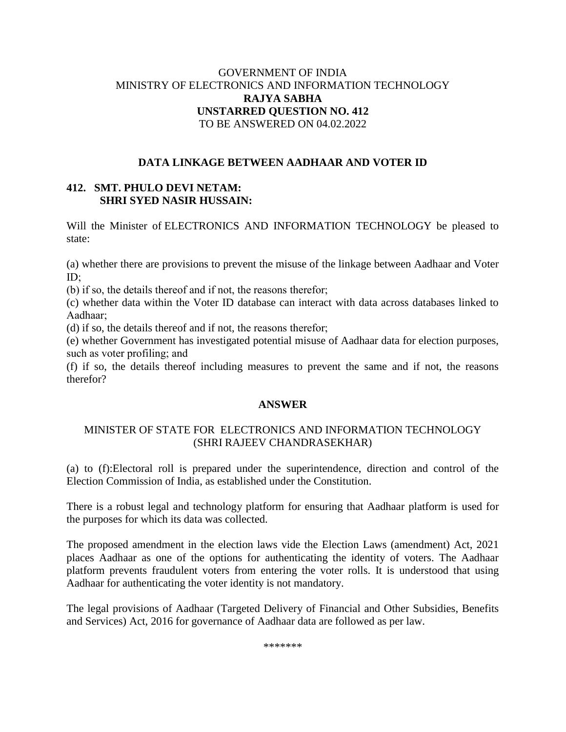## GOVERNMENT OF INDIA MINISTRY OF ELECTRONICS AND INFORMATION TECHNOLOGY **RAJYA SABHA UNSTARRED QUESTION NO. 412** TO BE ANSWERED ON 04.02.2022

## **DATA LINKAGE BETWEEN AADHAAR AND VOTER ID**

# **412. SMT. PHULO DEVI NETAM: SHRI SYED NASIR HUSSAIN:**

Will the Minister of ELECTRONICS AND INFORMATION TECHNOLOGY be pleased to state:

(a) whether there are provisions to prevent the misuse of the linkage between Aadhaar and Voter ID;

(b) if so, the details thereof and if not, the reasons therefor;

(c) whether data within the Voter ID database can interact with data across databases linked to Aadhaar;

(d) if so, the details thereof and if not, the reasons therefor;

(e) whether Government has investigated potential misuse of Aadhaar data for election purposes, such as voter profiling; and

(f) if so, the details thereof including measures to prevent the same and if not, the reasons therefor?

#### **ANSWER**

### MINISTER OF STATE FOR ELECTRONICS AND INFORMATION TECHNOLOGY (SHRI RAJEEV CHANDRASEKHAR)

(a) to (f):Electoral roll is prepared under the superintendence, direction and control of the Election Commission of India, as established under the Constitution.

There is a robust legal and technology platform for ensuring that Aadhaar platform is used for the purposes for which its data was collected.

The proposed amendment in the election laws vide the Election Laws (amendment) Act, 2021 places Aadhaar as one of the options for authenticating the identity of voters. The Aadhaar platform prevents fraudulent voters from entering the voter rolls. It is understood that using Aadhaar for authenticating the voter identity is not mandatory.

The legal provisions of Aadhaar (Targeted Delivery of Financial and Other Subsidies, Benefits and Services) Act, 2016 for governance of Aadhaar data are followed as per law.

\*\*\*\*\*\*\*